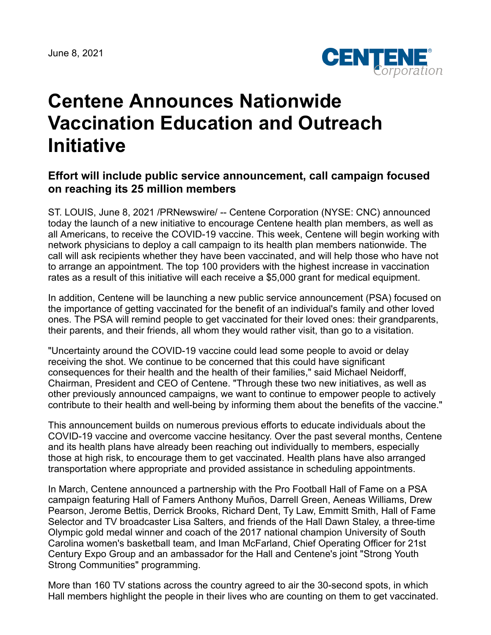

## **Centene Announces Nationwide Vaccination Education and Outreach Initiative**

## **Effort will include public service announcement, call campaign focused on reaching its 25 million members**

ST. LOUIS, June 8, 2021 /PRNewswire/ -- Centene Corporation (NYSE: CNC) announced today the launch of a new initiative to encourage Centene health plan members, as well as all Americans, to receive the COVID-19 vaccine. This week, Centene will begin working with network physicians to deploy a call campaign to its health plan members nationwide. The call will ask recipients whether they have been vaccinated, and will help those who have not to arrange an appointment. The top 100 providers with the highest increase in vaccination rates as a result of this initiative will each receive a \$5,000 grant for medical equipment.

In addition, Centene will be launching a new public service announcement (PSA) focused on the importance of getting vaccinated for the benefit of an individual's family and other loved ones. The PSA will remind people to get vaccinated for their loved ones: their grandparents, their parents, and their friends, all whom they would rather visit, than go to a visitation.

"Uncertainty around the COVID-19 vaccine could lead some people to avoid or delay receiving the shot. We continue to be concerned that this could have significant consequences for their health and the health of their families," said Michael Neidorff, Chairman, President and CEO of Centene. "Through these two new initiatives, as well as other previously announced campaigns, we want to continue to empower people to actively contribute to their health and well-being by informing them about the benefits of the vaccine."

This announcement builds on numerous previous efforts to educate individuals about the COVID-19 vaccine and overcome vaccine hesitancy. Over the past several months, Centene and its health plans have already been reaching out individually to members, especially those at high risk, to encourage them to get vaccinated. Health plans have also arranged transportation where appropriate and provided assistance in scheduling appointments.

In March, Centene announced a partnership with the Pro Football Hall of Fame on a PSA campaign featuring Hall of Famers Anthony Muños, Darrell Green, Aeneas Williams, Drew Pearson, Jerome Bettis, Derrick Brooks, Richard Dent, Ty Law, Emmitt Smith, Hall of Fame Selector and TV broadcaster Lisa Salters, and friends of the Hall Dawn Staley, a three-time Olympic gold medal winner and coach of the 2017 national champion University of South Carolina women's basketball team, and Iman McFarland, Chief Operating Officer for 21st Century Expo Group and an ambassador for the Hall and Centene's joint "Strong Youth Strong Communities" programming.

More than 160 TV stations across the country agreed to air the 30-second spots, in which Hall members highlight the people in their lives who are counting on them to get vaccinated.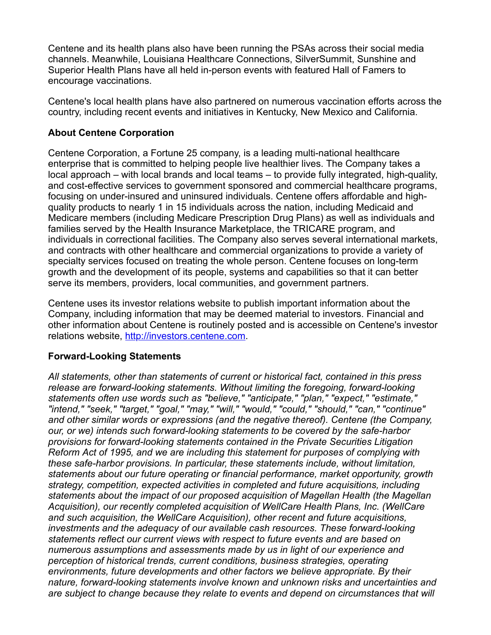Centene and its health plans also have been running the PSAs across their social media channels. Meanwhile, Louisiana Healthcare Connections, SilverSummit, Sunshine and Superior Health Plans have all held in-person events with featured Hall of Famers to encourage vaccinations.

Centene's local health plans have also partnered on numerous vaccination efforts across the country, including recent events and initiatives in Kentucky, New Mexico and California.

## **About Centene Corporation**

Centene Corporation, a Fortune 25 company, is a leading multi-national healthcare enterprise that is committed to helping people live healthier lives. The Company takes a local approach – with local brands and local teams – to provide fully integrated, high-quality, and cost-effective services to government sponsored and commercial healthcare programs, focusing on under-insured and uninsured individuals. Centene offers affordable and highquality products to nearly 1 in 15 individuals across the nation, including Medicaid and Medicare members (including Medicare Prescription Drug Plans) as well as individuals and families served by the Health Insurance Marketplace, the TRICARE program, and individuals in correctional facilities. The Company also serves several international markets, and contracts with other healthcare and commercial organizations to provide a variety of specialty services focused on treating the whole person. Centene focuses on long-term growth and the development of its people, systems and capabilities so that it can better serve its members, providers, local communities, and government partners.

Centene uses its investor relations website to publish important information about the Company, including information that may be deemed material to investors. Financial and other information about Centene is routinely posted and is accessible on Centene's investor relations website, [http://investors.centene.com](http://investors.centene.com/).

## **Forward-Looking Statements**

*All statements, other than statements of current or historical fact, contained in this press release are forward-looking statements. Without limiting the foregoing, forward-looking statements often use words such as "believe," "anticipate," "plan," "expect," "estimate," "intend," "seek," "target," "goal," "may," "will," "would," "could," "should," "can," "continue" and other similar words or expressions (and the negative thereof). Centene (the Company, our, or we) intends such forward-looking statements to be covered by the safe-harbor provisions for forward-looking statements contained in the Private Securities Litigation Reform Act of 1995, and we are including this statement for purposes of complying with these safe-harbor provisions. In particular, these statements include, without limitation, statements about our future operating or financial performance, market opportunity, growth strategy, competition, expected activities in completed and future acquisitions, including statements about the impact of our proposed acquisition of Magellan Health (the Magellan Acquisition), our recently completed acquisition of WellCare Health Plans, Inc. (WellCare and such acquisition, the WellCare Acquisition), other recent and future acquisitions, investments and the adequacy of our available cash resources. These forward-looking statements reflect our current views with respect to future events and are based on numerous assumptions and assessments made by us in light of our experience and perception of historical trends, current conditions, business strategies, operating environments, future developments and other factors we believe appropriate. By their nature, forward-looking statements involve known and unknown risks and uncertainties and are subject to change because they relate to events and depend on circumstances that will*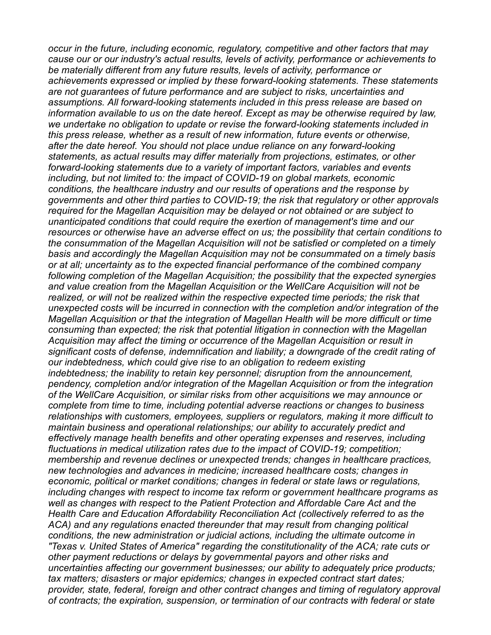*occur in the future, including economic, regulatory, competitive and other factors that may cause our or our industry's actual results, levels of activity, performance or achievements to be materially different from any future results, levels of activity, performance or achievements expressed or implied by these forward-looking statements. These statements are not guarantees of future performance and are subject to risks, uncertainties and assumptions. All forward-looking statements included in this press release are based on information available to us on the date hereof. Except as may be otherwise required by law, we undertake no obligation to update or revise the forward-looking statements included in this press release, whether as a result of new information, future events or otherwise, after the date hereof. You should not place undue reliance on any forward-looking statements, as actual results may differ materially from projections, estimates, or other forward-looking statements due to a variety of important factors, variables and events including, but not limited to: the impact of COVID-19 on global markets, economic conditions, the healthcare industry and our results of operations and the response by governments and other third parties to COVID-19; the risk that regulatory or other approvals required for the Magellan Acquisition may be delayed or not obtained or are subject to unanticipated conditions that could require the exertion of management's time and our resources or otherwise have an adverse effect on us; the possibility that certain conditions to the consummation of the Magellan Acquisition will not be satisfied or completed on a timely basis and accordingly the Magellan Acquisition may not be consummated on a timely basis or at all; uncertainty as to the expected financial performance of the combined company following completion of the Magellan Acquisition; the possibility that the expected synergies and value creation from the Magellan Acquisition or the WellCare Acquisition will not be realized, or will not be realized within the respective expected time periods; the risk that unexpected costs will be incurred in connection with the completion and/or integration of the Magellan Acquisition or that the integration of Magellan Health will be more difficult or time consuming than expected; the risk that potential litigation in connection with the Magellan Acquisition may affect the timing or occurrence of the Magellan Acquisition or result in significant costs of defense, indemnification and liability; a downgrade of the credit rating of our indebtedness, which could give rise to an obligation to redeem existing indebtedness; the inability to retain key personnel; disruption from the announcement, pendency, completion and/or integration of the Magellan Acquisition or from the integration of the WellCare Acquisition, or similar risks from other acquisitions we may announce or complete from time to time, including potential adverse reactions or changes to business relationships with customers, employees, suppliers or regulators, making it more difficult to maintain business and operational relationships; our ability to accurately predict and effectively manage health benefits and other operating expenses and reserves, including fluctuations in medical utilization rates due to the impact of COVID-19; competition; membership and revenue declines or unexpected trends; changes in healthcare practices, new technologies and advances in medicine; increased healthcare costs; changes in economic, political or market conditions; changes in federal or state laws or regulations, including changes with respect to income tax reform or government healthcare programs as well as changes with respect to the Patient Protection and Affordable Care Act and the Health Care and Education Affordability Reconciliation Act (collectively referred to as the ACA) and any regulations enacted thereunder that may result from changing political conditions, the new administration or judicial actions, including the ultimate outcome in "Texas v. United States of America" regarding the constitutionality of the ACA; rate cuts or other payment reductions or delays by governmental payors and other risks and uncertainties affecting our government businesses; our ability to adequately price products; tax matters; disasters or major epidemics; changes in expected contract start dates; provider, state, federal, foreign and other contract changes and timing of regulatory approval of contracts; the expiration, suspension, or termination of our contracts with federal or state*